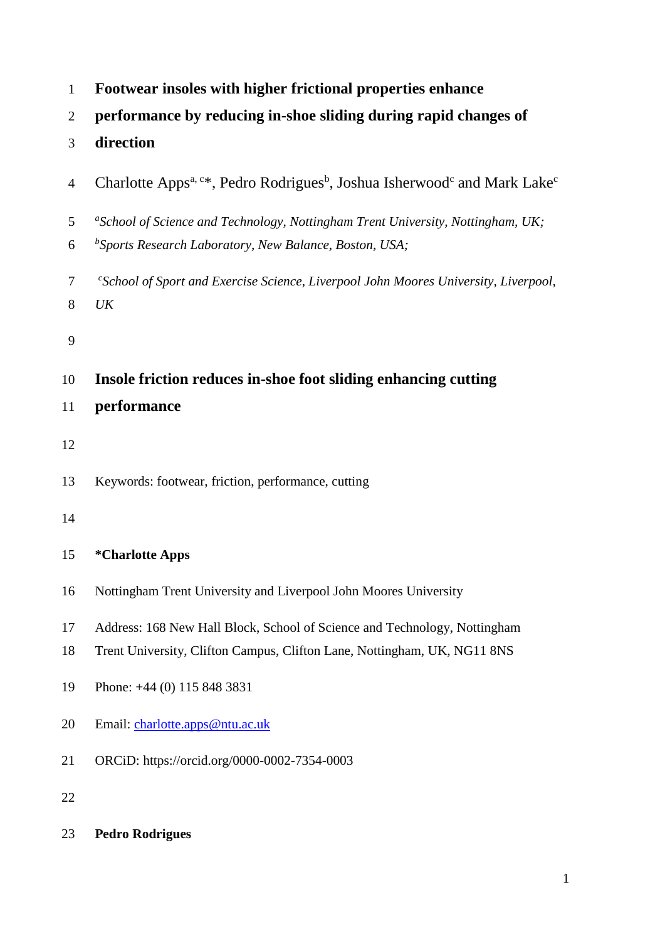| 1              | Footwear insoles with higher frictional properties enhance                                                                                            |
|----------------|-------------------------------------------------------------------------------------------------------------------------------------------------------|
| $\overline{2}$ | performance by reducing in-shoe sliding during rapid changes of                                                                                       |
| 3              | direction                                                                                                                                             |
| $\overline{4}$ | Charlotte Apps <sup>a, c*</sup> , Pedro Rodrigues <sup>b</sup> , Joshua Isherwood <sup>c</sup> and Mark Lake <sup>c</sup>                             |
| 5<br>6         | "School of Science and Technology, Nottingham Trent University, Nottingham, UK;<br><sup>b</sup> Sports Research Laboratory, New Balance, Boston, USA; |
| 7<br>8         | "School of Sport and Exercise Science, Liverpool John Moores University, Liverpool,<br>UK                                                             |
| 9              |                                                                                                                                                       |
| 10             | Insole friction reduces in-shoe foot sliding enhancing cutting                                                                                        |
| 11             | performance                                                                                                                                           |
| 12             |                                                                                                                                                       |
| 13             | Keywords: footwear, friction, performance, cutting                                                                                                    |
| 14             |                                                                                                                                                       |
| 15             | <i>*</i> Charlotte Apps                                                                                                                               |
| 16             | Nottingham Trent University and Liverpool John Moores University                                                                                      |
| 17             | Address: 168 New Hall Block, School of Science and Technology, Nottingham                                                                             |
| 18             | Trent University, Clifton Campus, Clifton Lane, Nottingham, UK, NG11 8NS                                                                              |
| 19             | Phone: $+44$ (0) 115 848 3831                                                                                                                         |
| 20             | Email: charlotte.apps@ntu.ac.uk                                                                                                                       |
| 21             | ORCiD: https://orcid.org/0000-0002-7354-0003                                                                                                          |
| 22             |                                                                                                                                                       |
| 23             | <b>Pedro Rodrigues</b>                                                                                                                                |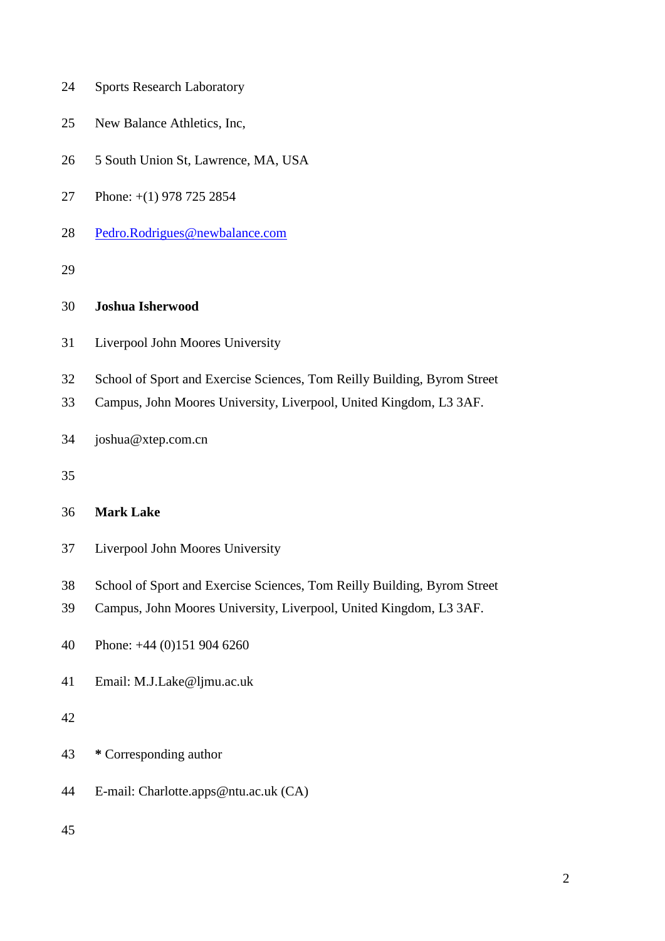- Sports Research Laboratory
- New Balance Athletics, Inc,
- 5 South Union St, Lawrence, MA, USA
- Phone: +(1) 978 725 2854
- [Pedro.Rodrigues@newbalance.com](mailto:Pedro.Rodrigues@newbalance.com)
- 

#### **Joshua Isherwood**

- Liverpool John Moores University
- School of Sport and Exercise Sciences, Tom Reilly Building, Byrom Street
- Campus, John Moores University, Liverpool, United Kingdom, L3 3AF.
- joshua@xtep.com.cn
- 

# **Mark Lake**

- Liverpool John Moores University
- School of Sport and Exercise Sciences, Tom Reilly Building, Byrom Street
- Campus, John Moores University, Liverpool, United Kingdom, L3 3AF.
- Phone: +44 (0)151 904 6260
- Email: M.J.Lake@ljmu.ac.uk

# 

- **\*** Corresponding author
- E-mail: Charlotte.apps@ntu.ac.uk (CA)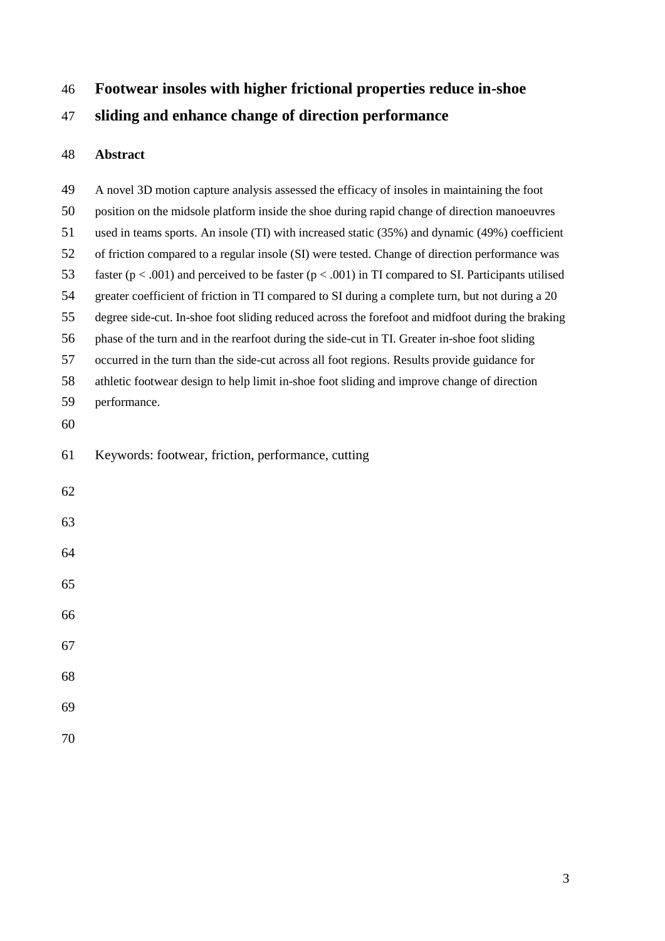# **Footwear insoles with higher frictional properties reduce in-shoe**

**sliding and enhance change of direction performance**

# **Abstract**

| 49 | A novel 3D motion capture analysis assessed the efficacy of insoles in maintaining the foot                 |
|----|-------------------------------------------------------------------------------------------------------------|
| 50 | position on the midsole platform inside the shoe during rapid change of direction manoeuvres                |
| 51 | used in teams sports. An insole (TI) with increased static (35%) and dynamic (49%) coefficient              |
| 52 | of friction compared to a regular insole (SI) were tested. Change of direction performance was              |
| 53 | faster ( $p < .001$ ) and perceived to be faster ( $p < .001$ ) in TI compared to SI. Participants utilised |
| 54 | greater coefficient of friction in TI compared to SI during a complete turn, but not during a 20            |
| 55 | degree side-cut. In-shoe foot sliding reduced across the forefoot and midfoot during the braking            |
| 56 | phase of the turn and in the rearfoot during the side-cut in TI. Greater in-shoe foot sliding               |
| 57 | occurred in the turn than the side-cut across all foot regions. Results provide guidance for                |
| 58 | athletic footwear design to help limit in-shoe foot sliding and improve change of direction                 |
| 59 | performance.                                                                                                |
| 60 |                                                                                                             |
| 61 | Keywords: footwear, friction, performance, cutting                                                          |
| 62 |                                                                                                             |
| 63 |                                                                                                             |
| 64 |                                                                                                             |
| 65 |                                                                                                             |
| 66 |                                                                                                             |
| 67 |                                                                                                             |
| 68 |                                                                                                             |
| 69 |                                                                                                             |
| 70 |                                                                                                             |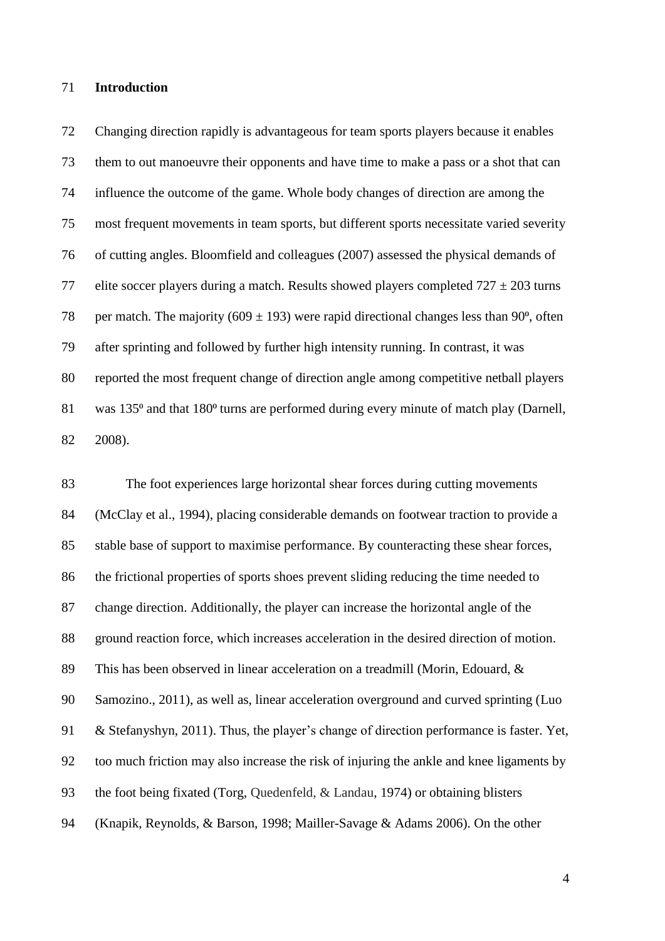#### **Introduction**

 Changing direction rapidly is advantageous for team sports players because it enables them to out manoeuvre their opponents and have time to make a pass or a shot that can influence the outcome of the game. Whole body changes of direction are among the most frequent movements in team sports, but different sports necessitate varied severity of cutting angles. Bloomfield and colleagues (2007) assessed the physical demands of 77 elite soccer players during a match. Results showed players completed  $727 \pm 203$  turns 78 per match. The majority (609  $\pm$  193) were rapid directional changes less than 90<sup>o</sup>, often after sprinting and followed by further high intensity running. In contrast, it was reported the most frequent change of direction angle among competitive netball players 81 was 135<sup>o</sup> and that 180<sup>o</sup> turns are performed during every minute of match play (Darnell, 2008).

 The foot experiences large horizontal shear forces during cutting movements (McClay et al., 1994), placing considerable demands on footwear traction to provide a stable base of support to maximise performance. By counteracting these shear forces, the frictional properties of sports shoes prevent sliding reducing the time needed to change direction. Additionally, the player can increase the horizontal angle of the ground reaction force, which increases acceleration in the desired direction of motion. This has been observed in linear acceleration on a treadmill (Morin, Edouard, & Samozino., 2011), as well as, linear acceleration overground and curved sprinting (Luo & Stefanyshyn, 2011). Thus, the player's change of direction performance is faster. Yet, too much friction may also increase the risk of injuring the ankle and knee ligaments by the foot being fixated (Torg, Quedenfeld, & Landau, 1974) or obtaining blisters (Knapik, Reynolds, & Barson, 1998; Mailler-Savage & Adams 2006). On the other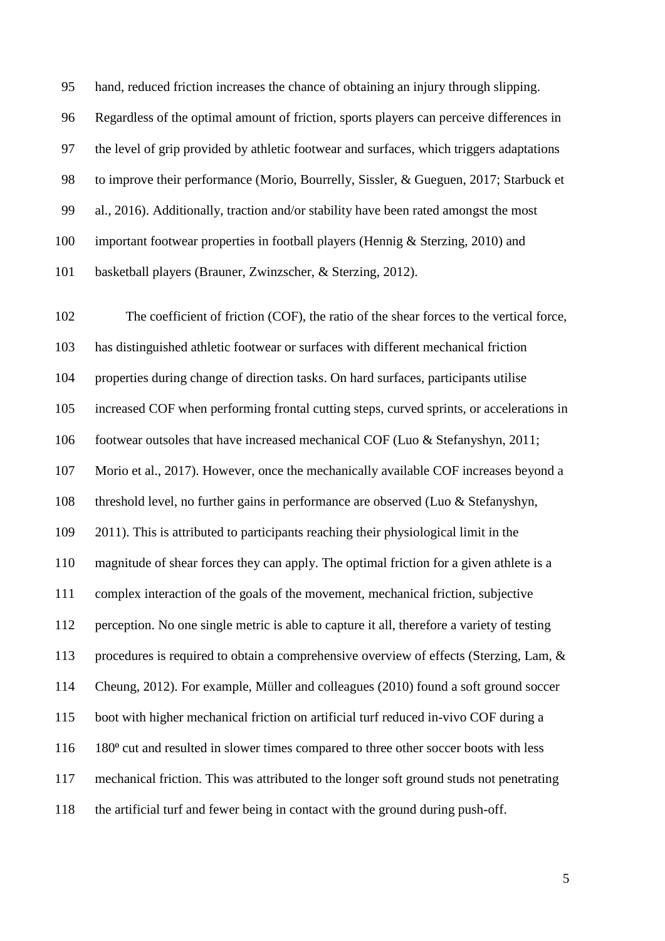hand, reduced friction increases the chance of obtaining an injury through slipping. Regardless of the optimal amount of friction, sports players can perceive differences in the level of grip provided by athletic footwear and surfaces, which triggers adaptations to improve their performance (Morio, Bourrelly, Sissler, & Gueguen, 2017; Starbuck et al., 2016). Additionally, traction and/or stability have been rated amongst the most important footwear properties in football players (Hennig & Sterzing, 2010) and basketball players (Brauner, Zwinzscher, & Sterzing, 2012).

 The coefficient of friction (COF), the ratio of the shear forces to the vertical force, has distinguished athletic footwear or surfaces with different mechanical friction properties during change of direction tasks. On hard surfaces, participants utilise increased COF when performing frontal cutting steps, curved sprints, or accelerations in footwear outsoles that have increased mechanical COF (Luo & Stefanyshyn, 2011; Morio et al., 2017). However, once the mechanically available COF increases beyond a threshold level, no further gains in performance are observed (Luo & Stefanyshyn, 2011). This is attributed to participants reaching their physiological limit in the magnitude of shear forces they can apply. The optimal friction for a given athlete is a complex interaction of the goals of the movement, mechanical friction, subjective perception. No one single metric is able to capture it all, therefore a variety of testing procedures is required to obtain a comprehensive overview of effects (Sterzing, Lam, & Cheung, 2012). For example, Müller and colleagues (2010) found a soft ground soccer boot with higher mechanical friction on artificial turf reduced in-vivo COF during a 116 180<sup>°</sup> cut and resulted in slower times compared to three other soccer boots with less mechanical friction. This was attributed to the longer soft ground studs not penetrating the artificial turf and fewer being in contact with the ground during push-off.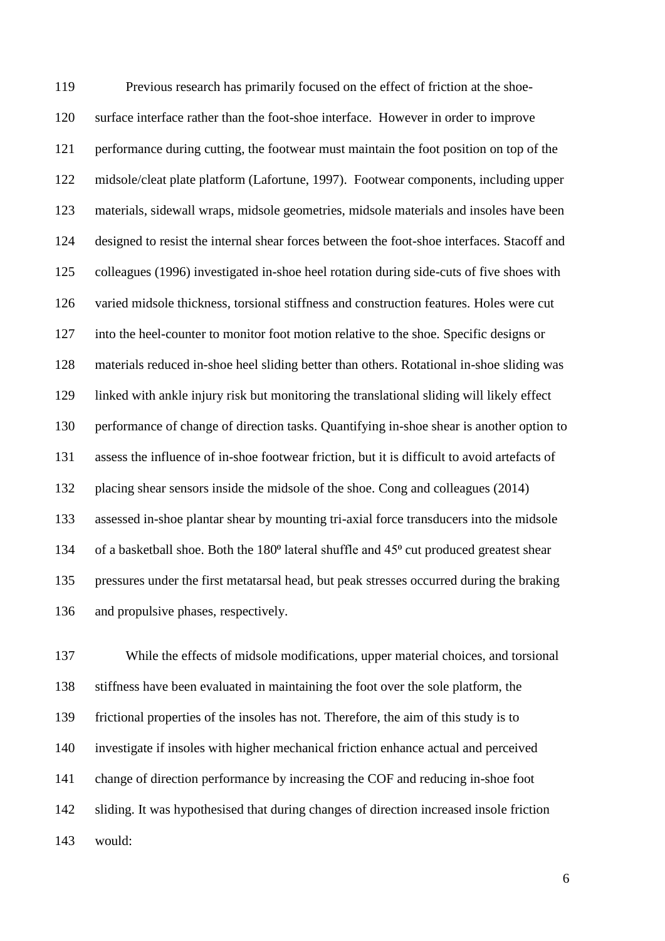Previous research has primarily focused on the effect of friction at the shoe- surface interface rather than the foot-shoe interface. However in order to improve performance during cutting, the footwear must maintain the foot position on top of the midsole/cleat plate platform (Lafortune, 1997). Footwear components, including upper materials, sidewall wraps, midsole geometries, midsole materials and insoles have been designed to resist the internal shear forces between the foot-shoe interfaces. Stacoff and colleagues (1996) investigated in-shoe heel rotation during side-cuts of five shoes with varied midsole thickness, torsional stiffness and construction features. Holes were cut into the heel-counter to monitor foot motion relative to the shoe. Specific designs or materials reduced in-shoe heel sliding better than others. Rotational in-shoe sliding was linked with ankle injury risk but monitoring the translational sliding will likely effect performance of change of direction tasks. Quantifying in-shoe shear is another option to assess the influence of in-shoe footwear friction, but it is difficult to avoid artefacts of placing shear sensors inside the midsole of the shoe. Cong and colleagues (2014) assessed in-shoe plantar shear by mounting tri-axial force transducers into the midsole 134 of a basketball shoe. Both the 180<sup>°</sup> lateral shuffle and 45<sup>°</sup> cut produced greatest shear pressures under the first metatarsal head, but peak stresses occurred during the braking and propulsive phases, respectively.

 While the effects of midsole modifications, upper material choices, and torsional stiffness have been evaluated in maintaining the foot over the sole platform, the frictional properties of the insoles has not. Therefore, the aim of this study is to investigate if insoles with higher mechanical friction enhance actual and perceived change of direction performance by increasing the COF and reducing in-shoe foot sliding. It was hypothesised that during changes of direction increased insole friction would: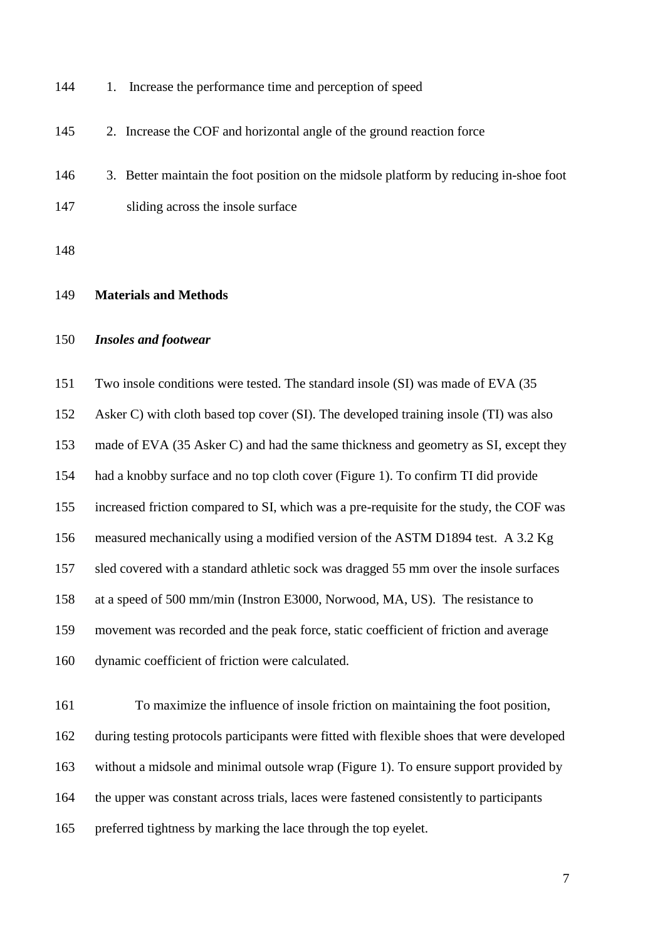144 1. Increase the performance time and perception of speed

145 2. Increase the COF and horizontal angle of the ground reaction force

146 3. Better maintain the foot position on the midsole platform by reducing in-shoe foot sliding across the insole surface

#### **Materials and Methods**

# *Insoles and footwear*

Two insole conditions were tested. The standard insole (SI) was made of EVA (35

Asker C) with cloth based top cover (SI). The developed training insole (TI) was also

made of EVA (35 Asker C) and had the same thickness and geometry as SI, except they

had a knobby surface and no top cloth cover (Figure 1). To confirm TI did provide

increased friction compared to SI, which was a pre-requisite for the study, the COF was

measured mechanically using a modified version of the ASTM D1894 test. A 3.2 Kg

sled covered with a standard athletic sock was dragged 55 mm over the insole surfaces

at a speed of 500 mm/min (Instron E3000, Norwood, MA, US). The resistance to

movement was recorded and the peak force, static coefficient of friction and average

dynamic coefficient of friction were calculated.

 To maximize the influence of insole friction on maintaining the foot position, during testing protocols participants were fitted with flexible shoes that were developed without a midsole and minimal outsole wrap (Figure 1). To ensure support provided by the upper was constant across trials, laces were fastened consistently to participants preferred tightness by marking the lace through the top eyelet.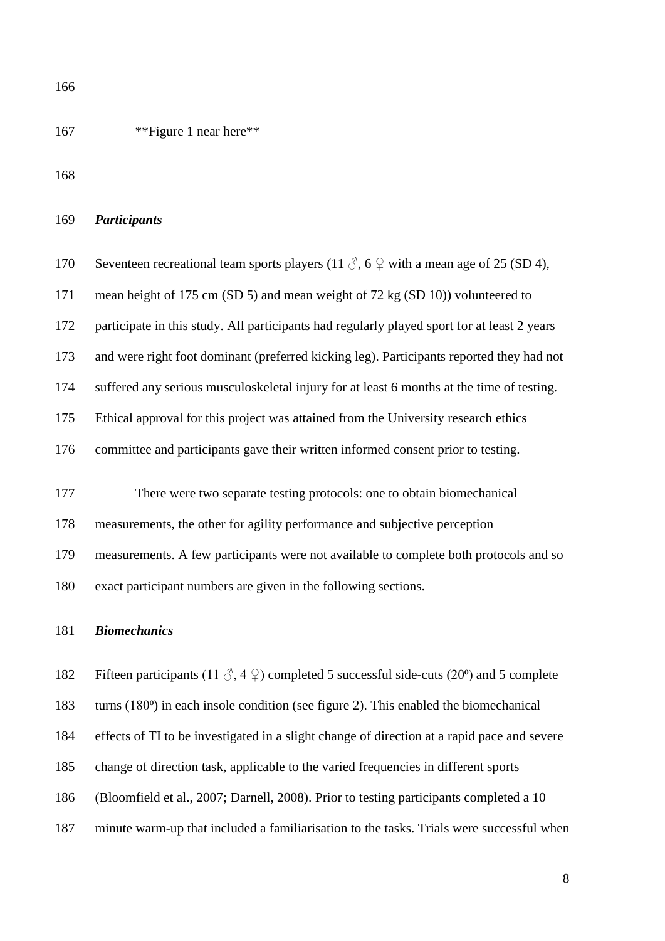167 \*\* Figure 1 near here\*\*

| 169 | <b>Participants</b> |  |
|-----|---------------------|--|
|     |                     |  |

| 170 | Seventeen recreational team sports players (11 $\Diamond$ , 6 $\Diamond$ with a mean age of 25 (SD 4),                  |
|-----|-------------------------------------------------------------------------------------------------------------------------|
| 171 | mean height of 175 cm (SD 5) and mean weight of 72 kg (SD 10)) volunteered to                                           |
| 172 | participate in this study. All participants had regularly played sport for at least 2 years                             |
| 173 | and were right foot dominant (preferred kicking leg). Participants reported they had not                                |
| 174 | suffered any serious musculoskeletal injury for at least 6 months at the time of testing.                               |
| 175 | Ethical approval for this project was attained from the University research ethics                                      |
| 176 | committee and participants gave their written informed consent prior to testing.                                        |
|     |                                                                                                                         |
| 177 | There were two separate testing protocols: one to obtain biomechanical                                                  |
| 178 | measurements, the other for agility performance and subjective perception                                               |
| 179 | measurements. A few participants were not available to complete both protocols and so                                   |
| 180 | exact participant numbers are given in the following sections.                                                          |
| 181 | <b>Biomechanics</b>                                                                                                     |
|     |                                                                                                                         |
| 182 | Fifteen participants (11 $\Diamond$ , 4 $\Diamond$ ) completed 5 successful side-cuts (20 <sup>o</sup> ) and 5 complete |
| 183 | turns $(180^{\circ})$ in each insole condition (see figure 2). This enabled the biomechanical                           |

effects of TI to be investigated in a slight change of direction at a rapid pace and severe

- change of direction task, applicable to the varied frequencies in different sports
- (Bloomfield et al., 2007; Darnell, 2008). Prior to testing participants completed a 10
- minute warm-up that included a familiarisation to the tasks. Trials were successful when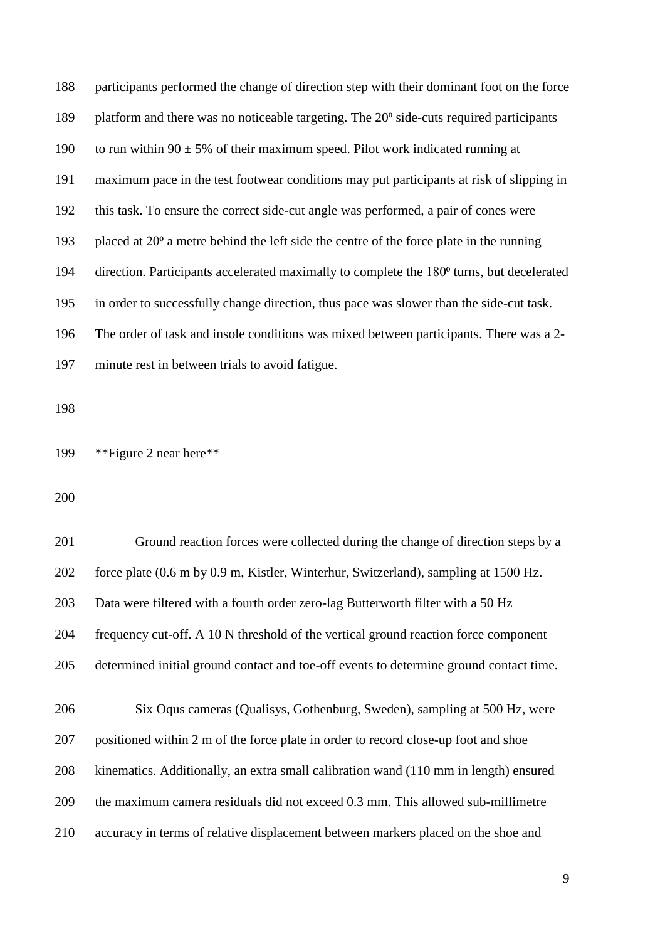| 188 | participants performed the change of direction step with their dominant foot on the force             |
|-----|-------------------------------------------------------------------------------------------------------|
| 189 | platform and there was no noticeable targeting. The 20 <sup>°</sup> side-cuts required participants   |
| 190 | to run within $90 \pm 5\%$ of their maximum speed. Pilot work indicated running at                    |
| 191 | maximum pace in the test footwear conditions may put participants at risk of slipping in              |
| 192 | this task. To ensure the correct side-cut angle was performed, a pair of cones were                   |
| 193 | placed at $20^{\circ}$ a metre behind the left side the centre of the force plate in the running      |
| 194 | direction. Participants accelerated maximally to complete the 180 <sup>°</sup> turns, but decelerated |
| 195 | in order to successfully change direction, thus pace was slower than the side-cut task.               |
| 196 | The order of task and insole conditions was mixed between participants. There was a 2-                |
| 197 | minute rest in between trials to avoid fatigue.                                                       |
|     |                                                                                                       |

\*\*Figure 2 near here\*\*

| 201 | Ground reaction forces were collected during the change of direction steps by a        |
|-----|----------------------------------------------------------------------------------------|
| 202 | force plate (0.6 m by 0.9 m, Kistler, Winterhur, Switzerland), sampling at 1500 Hz.    |
| 203 | Data were filtered with a fourth order zero-lag Butterworth filter with a 50 Hz        |
| 204 | frequency cut-off. A 10 N threshold of the vertical ground reaction force component    |
| 205 | determined initial ground contact and toe-off events to determine ground contact time. |
|     |                                                                                        |
| 206 | Six Oqus cameras (Qualisys, Gothenburg, Sweden), sampling at 500 Hz, were              |
| 207 | positioned within 2 m of the force plate in order to record close-up foot and shoe     |
| 208 | kinematics. Additionally, an extra small calibration wand (110 mm in length) ensured   |
| 209 | the maximum camera residuals did not exceed 0.3 mm. This allowed sub-millimetre        |
| 210 |                                                                                        |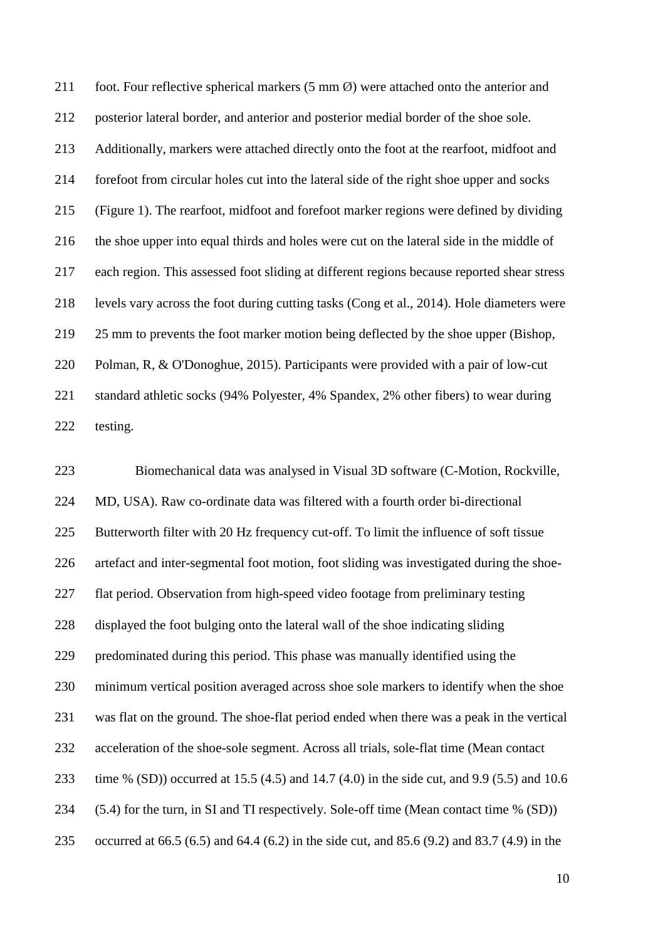foot. Four reflective spherical markers (5 mm Ø) were attached onto the anterior and posterior lateral border, and anterior and posterior medial border of the shoe sole. Additionally, markers were attached directly onto the foot at the rearfoot, midfoot and forefoot from circular holes cut into the lateral side of the right shoe upper and socks (Figure 1). The rearfoot, midfoot and forefoot marker regions were defined by dividing the shoe upper into equal thirds and holes were cut on the lateral side in the middle of each region. This assessed foot sliding at different regions because reported shear stress levels vary across the foot during cutting tasks (Cong et al., 2014). Hole diameters were 25 mm to prevents the foot marker motion being deflected by the shoe upper (Bishop, Polman, R, & O'Donoghue, 2015). Participants were provided with a pair of low-cut standard athletic socks (94% Polyester, 4% Spandex, 2% other fibers) to wear during testing.

 Biomechanical data was analysed in Visual 3D software (C-Motion, Rockville, MD, USA). Raw co-ordinate data was filtered with a fourth order bi-directional Butterworth filter with 20 Hz frequency cut-off. To limit the influence of soft tissue artefact and inter-segmental foot motion, foot sliding was investigated during the shoe- flat period. Observation from high-speed video footage from preliminary testing displayed the foot bulging onto the lateral wall of the shoe indicating sliding predominated during this period. This phase was manually identified using the minimum vertical position averaged across shoe sole markers to identify when the shoe was flat on the ground. The shoe-flat period ended when there was a peak in the vertical acceleration of the shoe-sole segment. Across all trials, sole-flat time (Mean contact time % (SD)) occurred at 15.5 (4.5) and 14.7 (4.0) in the side cut, and 9.9 (5.5) and 10.6 (5.4) for the turn, in SI and TI respectively. Sole-off time (Mean contact time % (SD)) occurred at 66.5 (6.5) and 64.4 (6.2) in the side cut, and 85.6 (9.2) and 83.7 (4.9) in the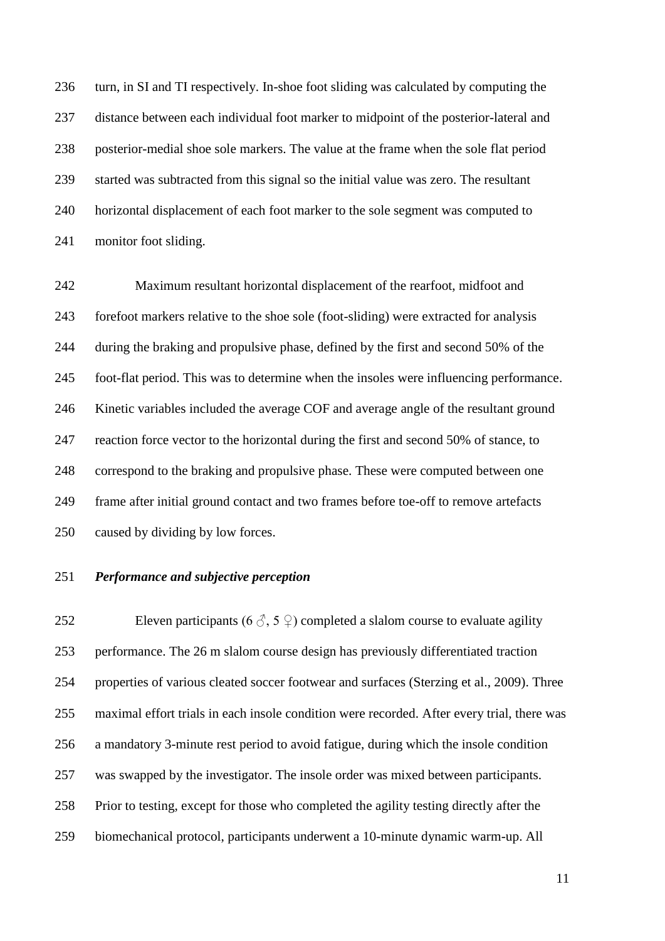turn, in SI and TI respectively. In-shoe foot sliding was calculated by computing the distance between each individual foot marker to midpoint of the posterior-lateral and posterior-medial shoe sole markers. The value at the frame when the sole flat period started was subtracted from this signal so the initial value was zero. The resultant horizontal displacement of each foot marker to the sole segment was computed to monitor foot sliding.

 Maximum resultant horizontal displacement of the rearfoot, midfoot and forefoot markers relative to the shoe sole (foot-sliding) were extracted for analysis during the braking and propulsive phase, defined by the first and second 50% of the foot-flat period. This was to determine when the insoles were influencing performance. Kinetic variables included the average COF and average angle of the resultant ground reaction force vector to the horizontal during the first and second 50% of stance, to correspond to the braking and propulsive phase. These were computed between one frame after initial ground contact and two frames before toe-off to remove artefacts caused by dividing by low forces.

# *Performance and subjective perception*

252 Eleven participants (6  $\Diamond$ , 5  $\Diamond$ ) completed a slalom course to evaluate agility performance. The 26 m slalom course design has previously differentiated traction properties of various cleated soccer footwear and surfaces (Sterzing et al., 2009). Three maximal effort trials in each insole condition were recorded. After every trial, there was a mandatory 3-minute rest period to avoid fatigue, during which the insole condition was swapped by the investigator. The insole order was mixed between participants. Prior to testing, except for those who completed the agility testing directly after the biomechanical protocol, participants underwent a 10-minute dynamic warm-up. All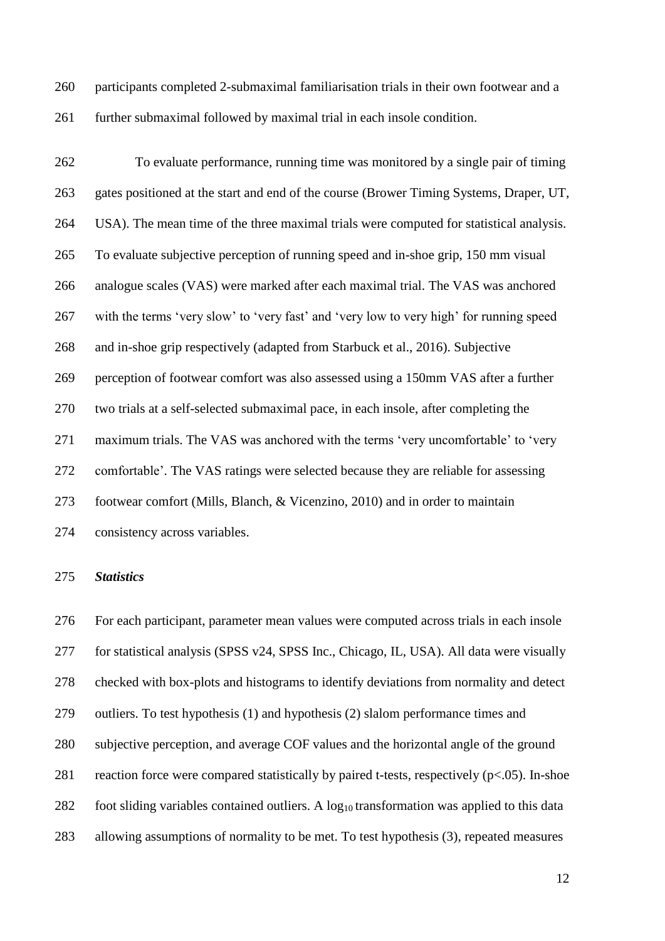participants completed 2-submaximal familiarisation trials in their own footwear and a further submaximal followed by maximal trial in each insole condition.

 To evaluate performance, running time was monitored by a single pair of timing gates positioned at the start and end of the course (Brower Timing Systems, Draper, UT, USA). The mean time of the three maximal trials were computed for statistical analysis. To evaluate subjective perception of running speed and in-shoe grip, 150 mm visual analogue scales (VAS) were marked after each maximal trial. The VAS was anchored with the terms 'very slow' to 'very fast' and 'very low to very high' for running speed and in-shoe grip respectively (adapted from Starbuck et al., 2016). Subjective perception of footwear comfort was also assessed using a 150mm VAS after a further two trials at a self-selected submaximal pace, in each insole, after completing the maximum trials. The VAS was anchored with the terms 'very uncomfortable' to 'very comfortable'. The VAS ratings were selected because they are reliable for assessing footwear comfort (Mills, Blanch, & Vicenzino, 2010) and in order to maintain consistency across variables.

#### *Statistics*

 For each participant, parameter mean values were computed across trials in each insole for statistical analysis (SPSS v24, SPSS Inc., Chicago, IL, USA). All data were visually checked with box-plots and histograms to identify deviations from normality and detect outliers. To test hypothesis (1) and hypothesis (2) slalom performance times and subjective perception, and average COF values and the horizontal angle of the ground 281 reaction force were compared statistically by paired t-tests, respectively  $(p<.05)$ . In-shoe 282 foot sliding variables contained outliers. A  $log_{10}$  transformation was applied to this data allowing assumptions of normality to be met. To test hypothesis (3), repeated measures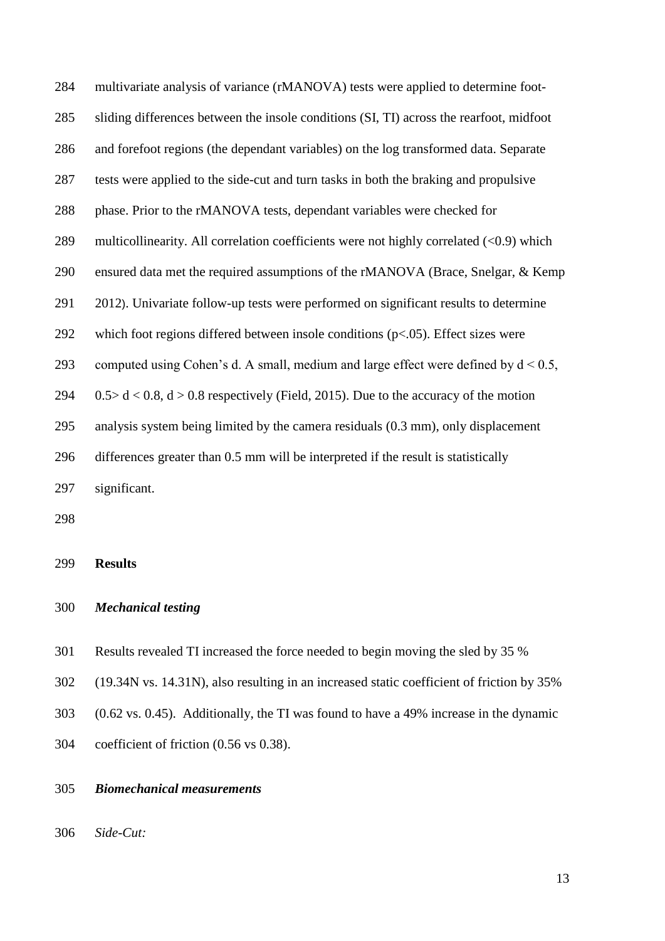multivariate analysis of variance (rMANOVA) tests were applied to determine foot- sliding differences between the insole conditions (SI, TI) across the rearfoot, midfoot and forefoot regions (the dependant variables) on the log transformed data. Separate tests were applied to the side-cut and turn tasks in both the braking and propulsive phase. Prior to the rMANOVA tests, dependant variables were checked for multicollinearity. All correlation coefficients were not highly correlated (<0.9) which ensured data met the required assumptions of the rMANOVA (Brace, Snelgar, & Kemp 2012). Univariate follow-up tests were performed on significant results to determine 292 which foot regions differed between insole conditions  $(p<.05)$ . Effect sizes were 293 computed using Cohen's d. A small, medium and large effect were defined by  $d < 0.5$ ,  $0.5 > d < 0.8$ ,  $d > 0.8$  respectively (Field, 2015). Due to the accuracy of the motion analysis system being limited by the camera residuals (0.3 mm), only displacement differences greater than 0.5 mm will be interpreted if the result is statistically significant.

#### **Results**

# *Mechanical testing*

- Results revealed TI increased the force needed to begin moving the sled by 35 %
- (19.34N vs. 14.31N), also resulting in an increased static coefficient of friction by 35%
- (0.62 vs. 0.45). Additionally, the TI was found to have a 49% increase in the dynamic
- coefficient of friction (0.56 vs 0.38).

# *Biomechanical measurements*

*Side-Cut:*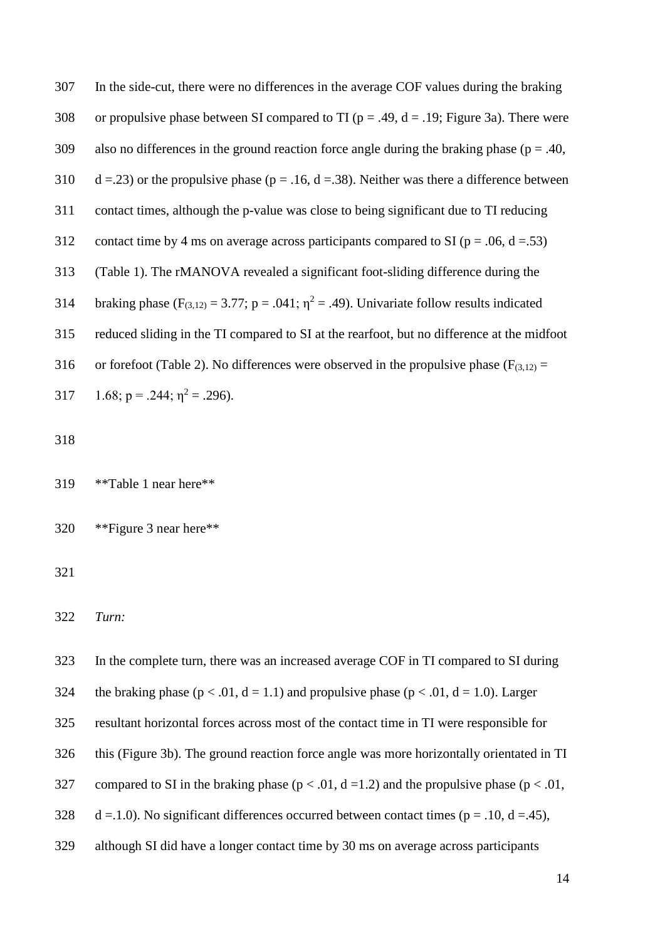307 In the side-cut, there were no differences in the average COF values during the braking 308 or propulsive phase between SI compared to TI ( $p = .49$ ,  $d = .19$ ; Figure 3a). There were 309 also no differences in the ground reaction force angle during the braking phase ( $p = .40$ , 310 d =.23) or the propulsive phase ( $p = .16$ ,  $d = .38$ ). Neither was there a difference between 311 contact times, although the p-value was close to being significant due to TI reducing 312 contact time by 4 ms on average across participants compared to SI ( $p = .06$ ,  $d = .53$ ) 313 (Table 1). The rMANOVA revealed a significant foot-sliding difference during the 314 braking phase  $(F_{(3,12)} = 3.77; p = .041; \eta^2 = .49)$ . Univariate follow results indicated 315 reduced sliding in the TI compared to SI at the rearfoot, but no difference at the midfoot 316 or forefoot (Table 2). No differences were observed in the propulsive phase ( $F_{(3,12)}$  = 317  $1.68$ ; p = .244;  $\eta^2$  = .296).

318

319 \*\*Table 1 near here\*\*

320 \*\*Figure 3 near here\*\*

321

322 *Turn:*

- 323 In the complete turn, there was an increased average COF in TI compared to SI during
- 324 the braking phase ( $p < .01$ ,  $d = 1.1$ ) and propulsive phase ( $p < .01$ ,  $d = 1.0$ ). Larger
- 325 resultant horizontal forces across most of the contact time in TI were responsible for
- 326 this (Figure 3b). The ground reaction force angle was more horizontally orientated in TI
- 327 compared to SI in the braking phase ( $p < .01$ ,  $d = 1.2$ ) and the propulsive phase ( $p < .01$ ,
- 328 d =.1.0). No significant differences occurred between contact times ( $p = .10$ ,  $d = .45$ ),
- 329 although SI did have a longer contact time by 30 ms on average across participants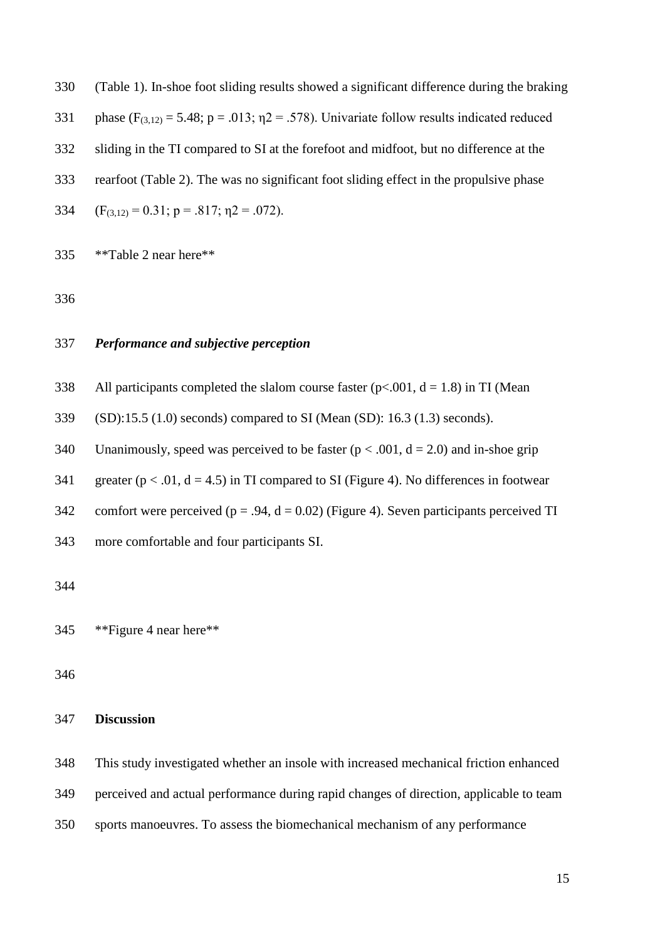(Table 1). In-shoe foot sliding results showed a significant difference during the braking

- 331 phase  $(F_{(3,12)} = 5.48; p = .013; \eta2 = .578)$ . Univariate follow results indicated reduced
- sliding in the TI compared to SI at the forefoot and midfoot, but no difference at the
- rearfoot (Table 2). The was no significant foot sliding effect in the propulsive phase
- 334  $(F_{(3,12)} = 0.31; p = .817; \eta_2 = .072)$ .

\*\*Table 2 near here\*\*

# *Performance and subjective perception*

- 338 All participants completed the slalom course faster  $(p< .001, d = 1.8)$  in TI (Mean
- (SD):15.5 (1.0) seconds) compared to SI (Mean (SD): 16.3 (1.3) seconds).
- 340 Unanimously, speed was perceived to be faster  $(p < .001, d = 2.0)$  and in-shoe grip
- 341 greater ( $p < .01$ ,  $d = 4.5$ ) in TI compared to SI (Figure 4). No differences in footwear
- 342 comfort were perceived ( $p = .94$ ,  $d = 0.02$ ) (Figure 4). Seven participants perceived TI
- more comfortable and four participants SI.

\*\*Figure 4 near here\*\*

#### **Discussion**

This study investigated whether an insole with increased mechanical friction enhanced

perceived and actual performance during rapid changes of direction, applicable to team

sports manoeuvres. To assess the biomechanical mechanism of any performance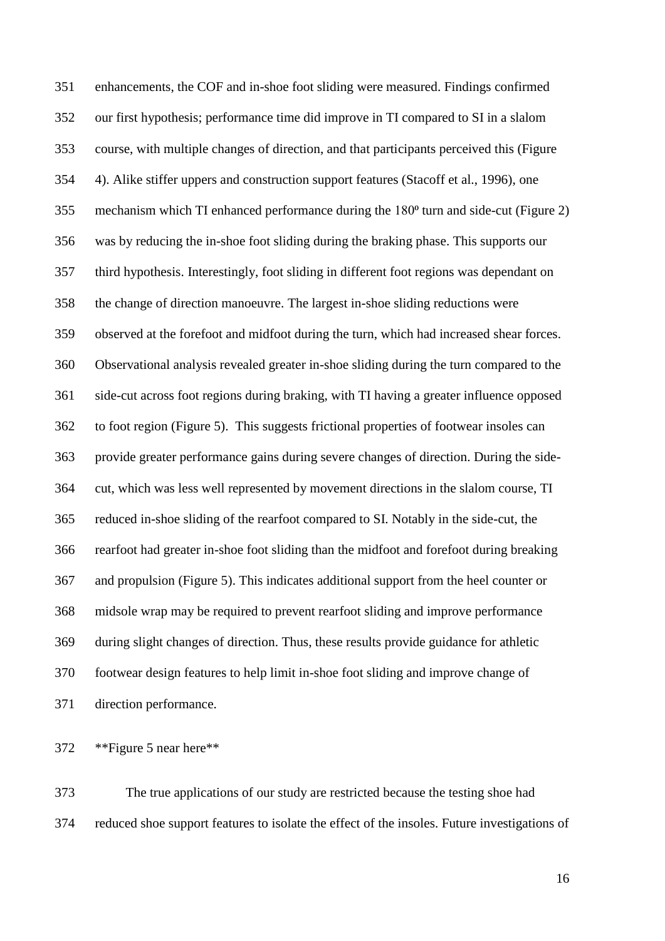enhancements, the COF and in-shoe foot sliding were measured. Findings confirmed our first hypothesis; performance time did improve in TI compared to SI in a slalom course, with multiple changes of direction, and that participants perceived this (Figure 4). Alike stiffer uppers and construction support features (Stacoff et al., 1996), one 355 mechanism which TI enhanced performance during the 180<sup>°</sup> turn and side-cut (Figure 2) was by reducing the in-shoe foot sliding during the braking phase. This supports our third hypothesis. Interestingly, foot sliding in different foot regions was dependant on the change of direction manoeuvre. The largest in-shoe sliding reductions were observed at the forefoot and midfoot during the turn, which had increased shear forces. Observational analysis revealed greater in-shoe sliding during the turn compared to the side-cut across foot regions during braking, with TI having a greater influence opposed to foot region (Figure 5). This suggests frictional properties of footwear insoles can provide greater performance gains during severe changes of direction. During the side- cut, which was less well represented by movement directions in the slalom course, TI reduced in-shoe sliding of the rearfoot compared to SI. Notably in the side-cut, the rearfoot had greater in-shoe foot sliding than the midfoot and forefoot during breaking and propulsion (Figure 5). This indicates additional support from the heel counter or midsole wrap may be required to prevent rearfoot sliding and improve performance during slight changes of direction. Thus, these results provide guidance for athletic footwear design features to help limit in-shoe foot sliding and improve change of direction performance.

\*\*Figure 5 near here\*\*

 The true applications of our study are restricted because the testing shoe had reduced shoe support features to isolate the effect of the insoles. Future investigations of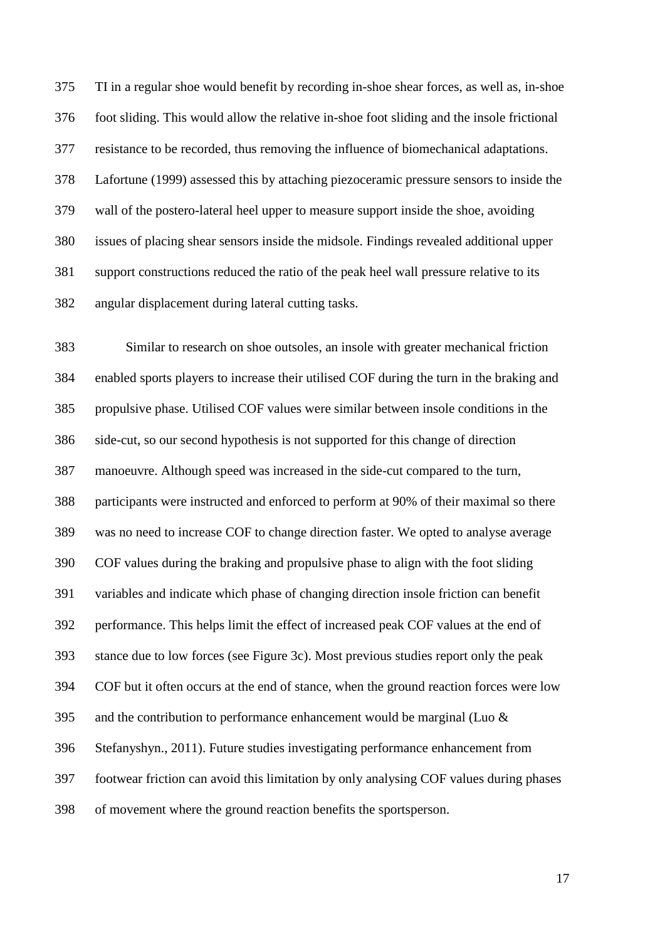TI in a regular shoe would benefit by recording in-shoe shear forces, as well as, in-shoe foot sliding. This would allow the relative in-shoe foot sliding and the insole frictional resistance to be recorded, thus removing the influence of biomechanical adaptations. Lafortune (1999) assessed this by attaching piezoceramic pressure sensors to inside the wall of the postero-lateral heel upper to measure support inside the shoe, avoiding issues of placing shear sensors inside the midsole. Findings revealed additional upper support constructions reduced the ratio of the peak heel wall pressure relative to its angular displacement during lateral cutting tasks.

 Similar to research on shoe outsoles, an insole with greater mechanical friction enabled sports players to increase their utilised COF during the turn in the braking and propulsive phase. Utilised COF values were similar between insole conditions in the side-cut, so our second hypothesis is not supported for this change of direction manoeuvre. Although speed was increased in the side-cut compared to the turn, participants were instructed and enforced to perform at 90% of their maximal so there was no need to increase COF to change direction faster. We opted to analyse average COF values during the braking and propulsive phase to align with the foot sliding variables and indicate which phase of changing direction insole friction can benefit performance. This helps limit the effect of increased peak COF values at the end of stance due to low forces (see Figure 3c). Most previous studies report only the peak COF but it often occurs at the end of stance, when the ground reaction forces were low 395 and the contribution to performance enhancement would be marginal (Luo  $\&$  Stefanyshyn., 2011). Future studies investigating performance enhancement from footwear friction can avoid this limitation by only analysing COF values during phases of movement where the ground reaction benefits the sportsperson.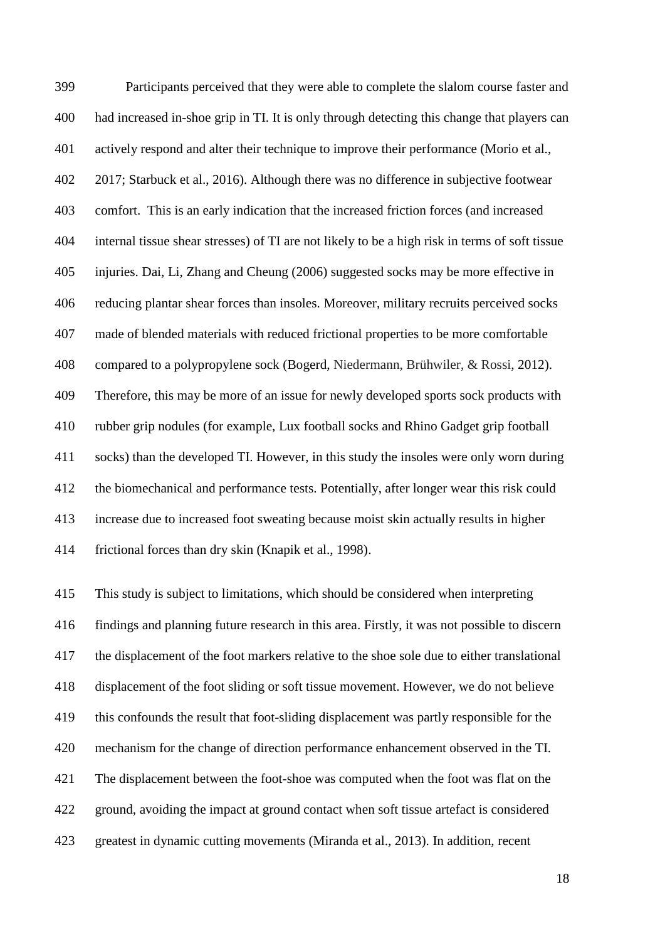Participants perceived that they were able to complete the slalom course faster and had increased in-shoe grip in TI. It is only through detecting this change that players can actively respond and alter their technique to improve their performance (Morio et al., 2017; Starbuck et al., 2016). Although there was no difference in subjective footwear comfort. This is an early indication that the increased friction forces (and increased internal tissue shear stresses) of TI are not likely to be a high risk in terms of soft tissue injuries. Dai, Li, Zhang and Cheung (2006) suggested socks may be more effective in reducing plantar shear forces than insoles. Moreover, military recruits perceived socks made of blended materials with reduced frictional properties to be more comfortable compared to a polypropylene sock (Bogerd, Niedermann, Brühwiler, & Rossi, 2012). Therefore, this may be more of an issue for newly developed sports sock products with rubber grip nodules (for example, Lux football socks and Rhino Gadget grip football socks) than the developed TI. However, in this study the insoles were only worn during the biomechanical and performance tests. Potentially, after longer wear this risk could increase due to increased foot sweating because moist skin actually results in higher frictional forces than dry skin (Knapik et al., 1998).

 This study is subject to limitations, which should be considered when interpreting findings and planning future research in this area. Firstly, it was not possible to discern the displacement of the foot markers relative to the shoe sole due to either translational displacement of the foot sliding or soft tissue movement. However, we do not believe this confounds the result that foot-sliding displacement was partly responsible for the mechanism for the change of direction performance enhancement observed in the TI. The displacement between the foot-shoe was computed when the foot was flat on the ground, avoiding the impact at ground contact when soft tissue artefact is considered greatest in dynamic cutting movements (Miranda et al., 2013). In addition, recent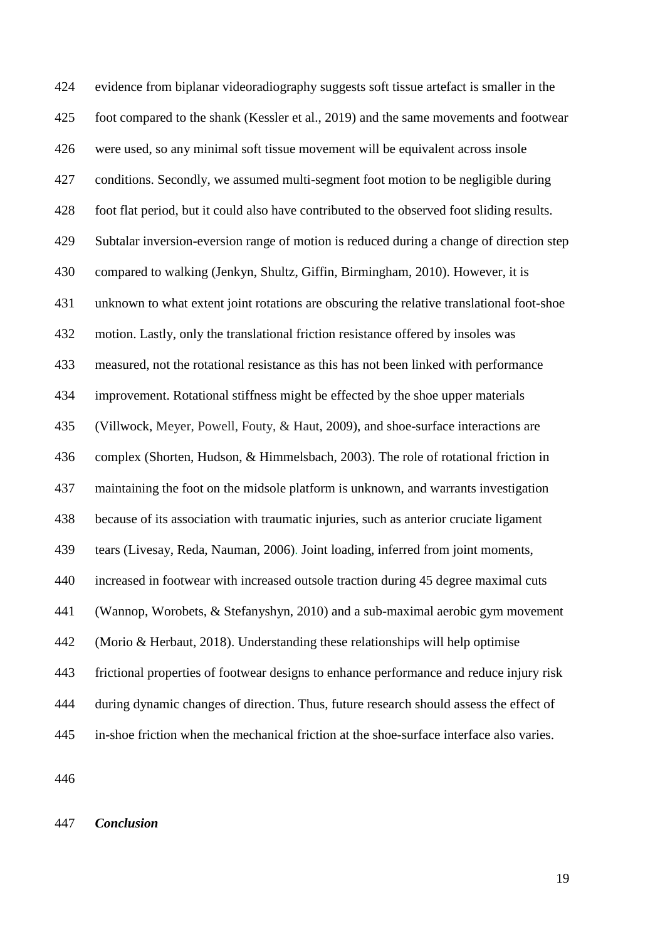evidence from biplanar videoradiography suggests soft tissue artefact is smaller in the foot compared to the shank (Kessler et al., 2019) and the same movements and footwear were used, so any minimal soft tissue movement will be equivalent across insole conditions. Secondly, we assumed multi-segment foot motion to be negligible during foot flat period, but it could also have contributed to the observed foot sliding results. Subtalar inversion-eversion range of motion is reduced during a change of direction step compared to walking (Jenkyn, Shultz, Giffin, Birmingham, 2010). However, it is unknown to what extent joint rotations are obscuring the relative translational foot-shoe motion. Lastly, only the translational friction resistance offered by insoles was measured, not the rotational resistance as this has not been linked with performance improvement. Rotational stiffness might be effected by the shoe upper materials (Villwock, Meyer, Powell, Fouty, & Haut, 2009), and shoe-surface interactions are complex (Shorten, Hudson, & Himmelsbach, 2003). The role of rotational friction in maintaining the foot on the midsole platform is unknown, and warrants investigation because of its association with traumatic injuries, such as anterior cruciate ligament tears (Livesay, Reda, Nauman, 2006). Joint loading, inferred from joint moments, increased in footwear with increased outsole traction during 45 degree maximal cuts (Wannop, Worobets, & Stefanyshyn, 2010) and a sub-maximal aerobic gym movement (Morio & Herbaut, 2018). Understanding these relationships will help optimise frictional properties of footwear designs to enhance performance and reduce injury risk during dynamic changes of direction. Thus, future research should assess the effect of in-shoe friction when the mechanical friction at the shoe-surface interface also varies.

*Conclusion*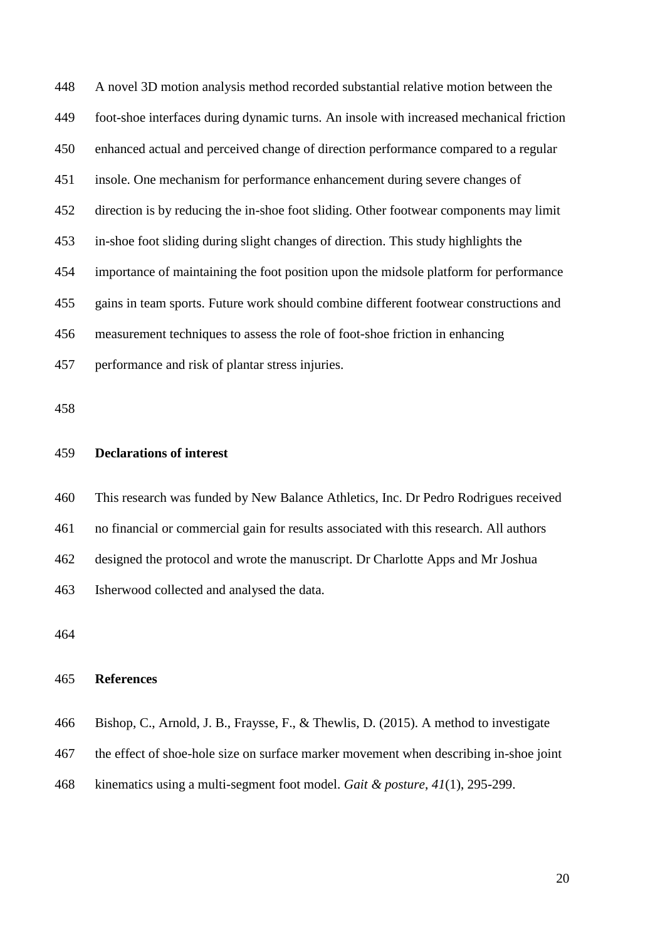A novel 3D motion analysis method recorded substantial relative motion between the foot-shoe interfaces during dynamic turns. An insole with increased mechanical friction enhanced actual and perceived change of direction performance compared to a regular insole. One mechanism for performance enhancement during severe changes of direction is by reducing the in-shoe foot sliding. Other footwear components may limit in-shoe foot sliding during slight changes of direction. This study highlights the importance of maintaining the foot position upon the midsole platform for performance gains in team sports. Future work should combine different footwear constructions and measurement techniques to assess the role of foot-shoe friction in enhancing performance and risk of plantar stress injuries.

# **Declarations of interest**

 This research was funded by New Balance Athletics, Inc. Dr Pedro Rodrigues received no financial or commercial gain for results associated with this research. All authors designed the protocol and wrote the manuscript. Dr Charlotte Apps and Mr Joshua Isherwood collected and analysed the data.

#### **References**

Bishop, C., Arnold, J. B., Fraysse, F., & Thewlis, D. (2015). A method to investigate

- the effect of shoe-hole size on surface marker movement when describing in-shoe joint
- kinematics using a multi-segment foot model. *Gait & posture*, *41*(1), 295-299.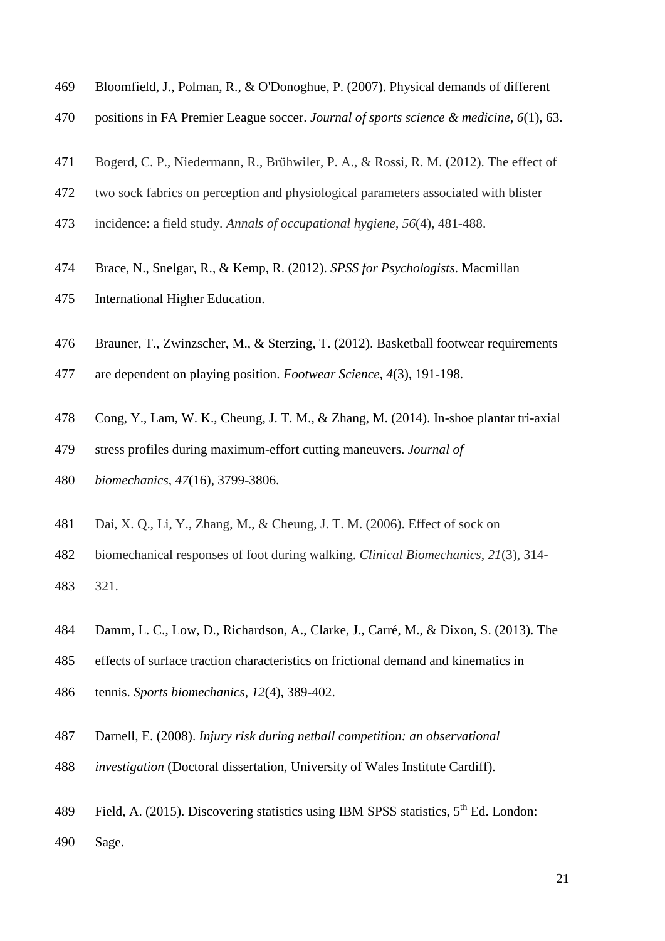- Bloomfield, J., Polman, R., & O'Donoghue, P. (2007). Physical demands of different
- positions in FA Premier League soccer. *Journal of sports science & medicine*, *6*(1), 63.
- Bogerd, C. P., Niedermann, R., Brühwiler, P. A., & Rossi, R. M. (2012). The effect of
- two sock fabrics on perception and physiological parameters associated with blister
- incidence: a field study. *Annals of occupational hygiene*, *56*(4), 481-488.
- Brace, N., Snelgar, R., & Kemp, R. (2012). *SPSS for Psychologists*. Macmillan
- International Higher Education.
- Brauner, T., Zwinzscher, M., & Sterzing, T. (2012). Basketball footwear requirements
- are dependent on playing position. *Footwear Science*, *4*(3), 191-198.
- Cong, Y., Lam, W. K., Cheung, J. T. M., & Zhang, M. (2014). In-shoe plantar tri-axial
- stress profiles during maximum-effort cutting maneuvers. *Journal of*
- *biomechanics*, *47*(16), 3799-3806.
- Dai, X. Q., Li, Y., Zhang, M., & Cheung, J. T. M. (2006). Effect of sock on

 biomechanical responses of foot during walking. *Clinical Biomechanics*, *21*(3), 314- 321.

- Damm, L. C., Low, D., Richardson, A., Clarke, J., Carré, M., & Dixon, S. (2013). The
- effects of surface traction characteristics on frictional demand and kinematics in
- tennis. *Sports biomechanics*, *12*(4), 389-402.
- Darnell, E. (2008). *Injury risk during netball competition: an observational*
- *investigation* (Doctoral dissertation, University of Wales Institute Cardiff).
- 489 Field, A. (2015). Discovering statistics using IBM SPSS statistics,  $5<sup>th</sup>$  Ed. London:
- Sage.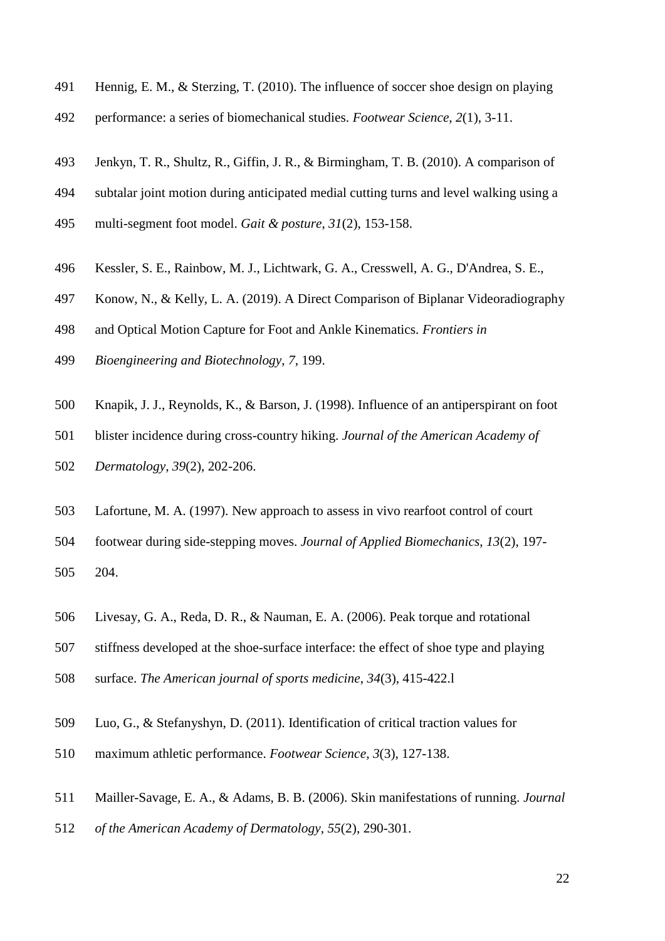- Hennig, E. M., & Sterzing, T. (2010). The influence of soccer shoe design on playing
- performance: a series of biomechanical studies. *Footwear Science*, *2*(1), 3-11.
- Jenkyn, T. R., Shultz, R., Giffin, J. R., & Birmingham, T. B. (2010). A comparison of
- subtalar joint motion during anticipated medial cutting turns and level walking using a
- multi-segment foot model. *Gait & posture*, *31*(2), 153-158.
- Kessler, S. E., Rainbow, M. J., Lichtwark, G. A., Cresswell, A. G., D'Andrea, S. E.,
- Konow, N., & Kelly, L. A. (2019). A Direct Comparison of Biplanar Videoradiography
- and Optical Motion Capture for Foot and Ankle Kinematics. *Frontiers in*
- *Bioengineering and Biotechnology*, *7*, 199.
- Knapik, J. J., Reynolds, K., & Barson, J. (1998). Influence of an antiperspirant on foot
- blister incidence during cross-country hiking. *Journal of the American Academy of*
- *Dermatology*, *39*(2), 202-206.
- Lafortune, M. A. (1997). New approach to assess in vivo rearfoot control of court
- footwear during side-stepping moves. *Journal of Applied Biomechanics*, *13*(2), 197- 204.
- Livesay, G. A., Reda, D. R., & Nauman, E. A. (2006). Peak torque and rotational
- stiffness developed at the shoe-surface interface: the effect of shoe type and playing
- surface. *The American journal of sports medicine*, *34*(3), 415-422.l
- Luo, G., & Stefanyshyn, D. (2011). Identification of critical traction values for
- maximum athletic performance. *Footwear Science*, *3*(3), 127-138.
- Mailler-Savage, E. A., & Adams, B. B. (2006). Skin manifestations of running. *Journal*
- *of the American Academy of Dermatology*, *55*(2), 290-301.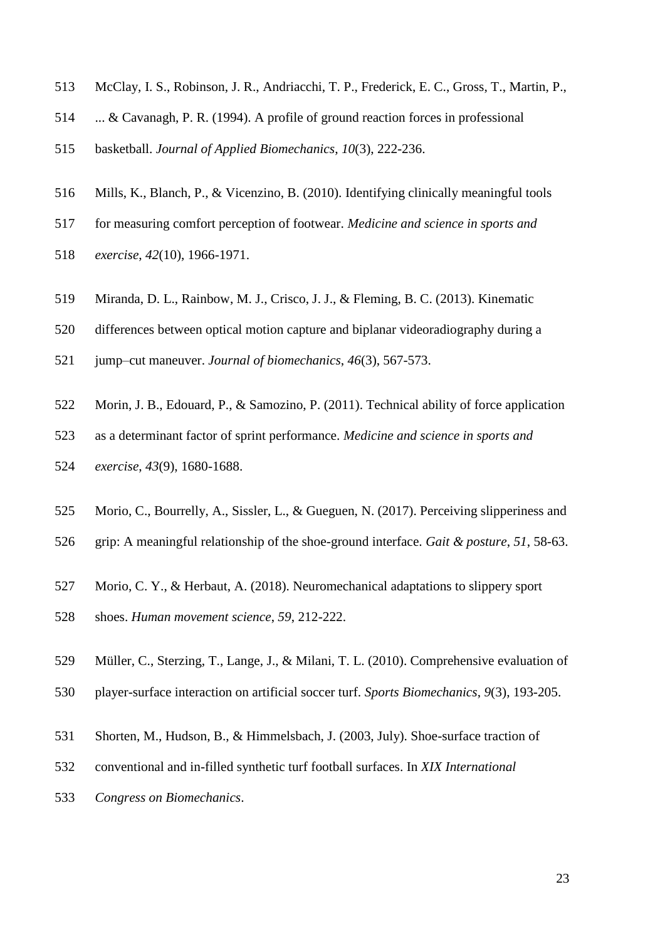- McClay, I. S., Robinson, J. R., Andriacchi, T. P., Frederick, E. C., Gross, T., Martin, P.,
- ... & Cavanagh, P. R. (1994). A profile of ground reaction forces in professional
- basketball. *Journal of Applied Biomechanics*, *10*(3), 222-236.
- Mills, K., Blanch, P., & Vicenzino, B. (2010). Identifying clinically meaningful tools
- for measuring comfort perception of footwear. *Medicine and science in sports and*
- *exercise*, *42*(10), 1966-1971.
- Miranda, D. L., Rainbow, M. J., Crisco, J. J., & Fleming, B. C. (2013). Kinematic
- differences between optical motion capture and biplanar videoradiography during a
- jump–cut maneuver. *Journal of biomechanics*, *46*(3), 567-573.
- Morin, J. B., Edouard, P., & Samozino, P. (2011). Technical ability of force application
- as a determinant factor of sprint performance. *Medicine and science in sports and exercise*, *43*(9), 1680-1688.
- Morio, C., Bourrelly, A., Sissler, L., & Gueguen, N. (2017). Perceiving slipperiness and
- grip: A meaningful relationship of the shoe-ground interface. *Gait & posture*, *51*, 58-63.
- Morio, C. Y., & Herbaut, A. (2018). Neuromechanical adaptations to slippery sport
- shoes. *Human movement science*, *59*, 212-222.
- Müller, C., Sterzing, T., Lange, J., & Milani, T. L. (2010). Comprehensive evaluation of
- player-surface interaction on artificial soccer turf. *Sports Biomechanics*, *9*(3), 193-205.
- Shorten, M., Hudson, B., & Himmelsbach, J. (2003, July). Shoe-surface traction of
- conventional and in-filled synthetic turf football surfaces. In *XIX International*
- *Congress on Biomechanics*.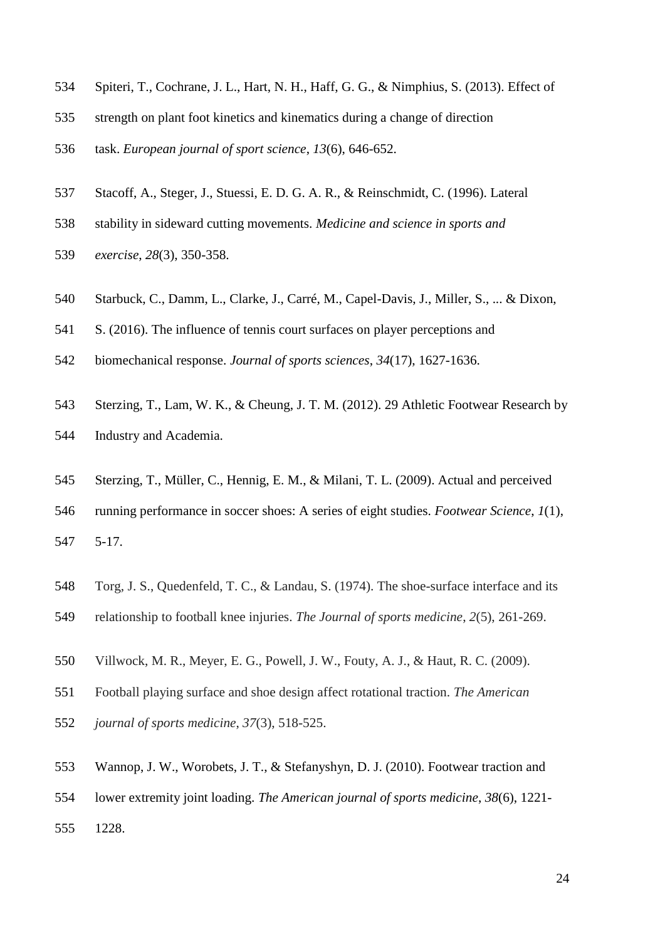- Spiteri, T., Cochrane, J. L., Hart, N. H., Haff, G. G., & Nimphius, S. (2013). Effect of
- strength on plant foot kinetics and kinematics during a change of direction
- task. *European journal of sport science*, *13*(6), 646-652.
- Stacoff, A., Steger, J., Stuessi, E. D. G. A. R., & Reinschmidt, C. (1996). Lateral
- stability in sideward cutting movements. *Medicine and science in sports and*
- *exercise*, *28*(3), 350-358.
- Starbuck, C., Damm, L., Clarke, J., Carré, M., Capel-Davis, J., Miller, S., ... & Dixon,
- S. (2016). The influence of tennis court surfaces on player perceptions and
- biomechanical response. *Journal of sports sciences*, *34*(17), 1627-1636.
- Sterzing, T., Lam, W. K., & Cheung, J. T. M. (2012). 29 Athletic Footwear Research by
- Industry and Academia.
- Sterzing, T., Müller, C., Hennig, E. M., & Milani, T. L. (2009). Actual and perceived
- running performance in soccer shoes: A series of eight studies. *Footwear Science*, *1*(1), 5-17.
- Torg, J. S., Quedenfeld, T. C., & Landau, S. (1974). The shoe-surface interface and its
- relationship to football knee injuries. *The Journal of sports medicine*, *2*(5), 261-269.
- Villwock, M. R., Meyer, E. G., Powell, J. W., Fouty, A. J., & Haut, R. C. (2009).
- Football playing surface and shoe design affect rotational traction. *The American*
- *journal of sports medicine*, *37*(3), 518-525.
- Wannop, J. W., Worobets, J. T., & Stefanyshyn, D. J. (2010). Footwear traction and
- lower extremity joint loading. *The American journal of sports medicine*, *38*(6), 1221-
- 1228.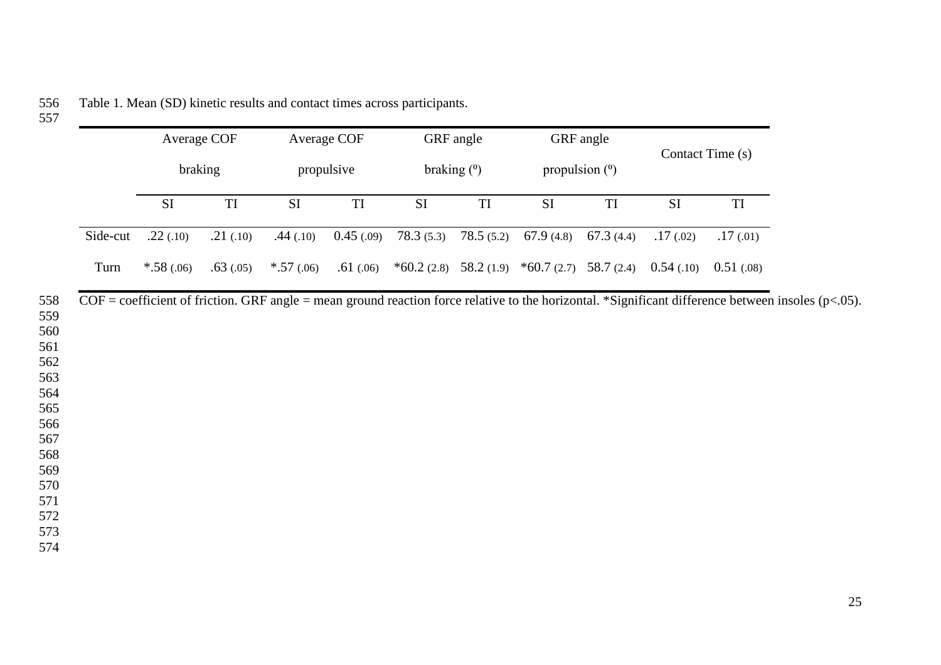|          | Average COF<br>Average COF<br>braking<br>propulsive |                   | GRF angle   |                   |               | GRF angle |                                                   |                   |                  |            |
|----------|-----------------------------------------------------|-------------------|-------------|-------------------|---------------|-----------|---------------------------------------------------|-------------------|------------------|------------|
|          |                                                     |                   |             |                   | braking $(°)$ |           | propulsion $(°)$                                  |                   | Contact Time (s) |            |
|          | $\rm SI$                                            | $\mathop{\rm TI}$ | $\rm SI$    | $\mathop{\rm TI}$ | $\rm SI$      | TI        | $\rm SI$                                          | $\mathop{\rm TI}$ | SI               | TI         |
| Side-cut | .22(.10)                                            | .21(.10)          | .44(.10)    | 0.45(0.09)        | 78.3(5.3)     | 78.5(5.2) | 67.9 $(4.8)$                                      | 67.3 $(4.4)$      | .17(02)          | .17(01)    |
| Turn     | $*.58(.06)$                                         | .63(0.05)         | $*.57(.06)$ | .61(.06)          |               |           | $*60.2$ (2.8) 58.2 (1.9) $*60.7$ (2.7) 58.7 (2.4) |                   | 0.54(0.10)       | 0.51(0.08) |
|          |                                                     |                   |             |                   |               |           |                                                   |                   |                  |            |
|          |                                                     |                   |             |                   |               |           |                                                   |                   |                  |            |
|          |                                                     |                   |             |                   |               |           |                                                   |                   |                  |            |
|          |                                                     |                   |             |                   |               |           |                                                   |                   |                  |            |
|          |                                                     |                   |             |                   |               |           |                                                   |                   |                  |            |
|          |                                                     |                   |             |                   |               |           |                                                   |                   |                  |            |
|          |                                                     |                   |             |                   |               |           |                                                   |                   |                  |            |
|          |                                                     |                   |             |                   |               |           |                                                   |                   |                  |            |
|          |                                                     |                   |             |                   |               |           |                                                   |                   |                  |            |
|          |                                                     |                   |             |                   |               |           |                                                   |                   |                  |            |

Table 1. Mean (SD) kinetic results and contact times across participants. 556<br>557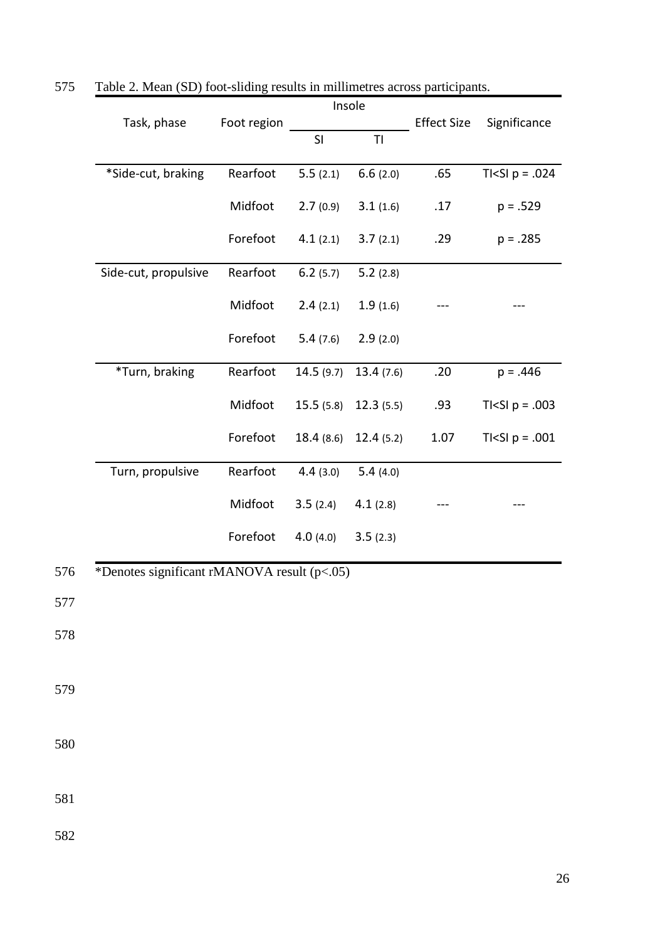|     |                                             |             | Insole<br>T <sub>l</sub><br>SI |           |                    | Significance                  |  |
|-----|---------------------------------------------|-------------|--------------------------------|-----------|--------------------|-------------------------------|--|
|     | Task, phase                                 | Foot region |                                |           | <b>Effect Size</b> |                               |  |
|     |                                             |             |                                |           |                    |                               |  |
|     | *Side-cut, braking                          | Rearfoot    | 5.5(2.1)                       | 6.6(2.0)  | .65                | TI <si <math="">p = .024</si> |  |
|     |                                             | Midfoot     | 2.7(0.9)                       | 3.1(1.6)  | .17                | $p = .529$                    |  |
|     |                                             | Forefoot    | 4.1(2.1)                       | 3.7(2.1)  | .29                | $p = .285$                    |  |
|     | Side-cut, propulsive                        | Rearfoot    | 6.2(5.7)                       | 5.2(2.8)  |                    |                               |  |
|     |                                             | Midfoot     | 2.4(2.1)                       | 1.9(1.6)  |                    |                               |  |
|     |                                             | Forefoot    | 5.4(7.6)                       | 2.9(2.0)  |                    |                               |  |
|     | *Turn, braking                              | Rearfoot    | 14.5(9.7)                      | 13.4(7.6) | .20                | $p = .446$                    |  |
|     |                                             | Midfoot     | 15.5(5.8)                      | 12.3(5.5) | .93                | TI <si <math="">p = .003</si> |  |
|     |                                             | Forefoot    | 18.4(8.6)                      | 12.4(5.2) | $1.07\,$           | TI <si <math="">p = .001</si> |  |
|     | Turn, propulsive                            | Rearfoot    | 4.4(3.0)                       | 5.4(4.0)  |                    |                               |  |
|     |                                             | Midfoot     | 3.5(2.4)                       | 4.1(2.8)  |                    |                               |  |
|     |                                             | Forefoot    | 4.0(4.0)                       | 3.5(2.3)  |                    |                               |  |
| 576 | *Denotes significant rMANOVA result (p<.05) |             |                                |           |                    |                               |  |
| 577 |                                             |             |                                |           |                    |                               |  |
| 578 |                                             |             |                                |           |                    |                               |  |
| 579 |                                             |             |                                |           |                    |                               |  |
| 580 |                                             |             |                                |           |                    |                               |  |
| 581 |                                             |             |                                |           |                    |                               |  |
| 582 |                                             |             |                                |           |                    |                               |  |

575 Table 2. Mean (SD) foot-sliding results in millimetres across participants.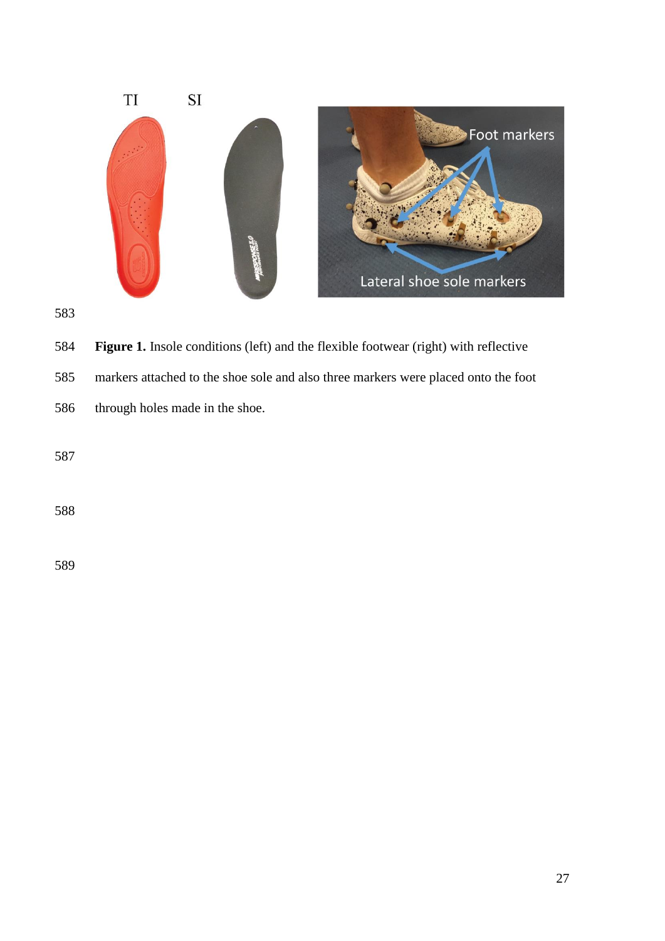



**Figure 1.** Insole conditions (left) and the flexible footwear (right) with reflective

markers attached to the shoe sole and also three markers were placed onto the foot

through holes made in the shoe.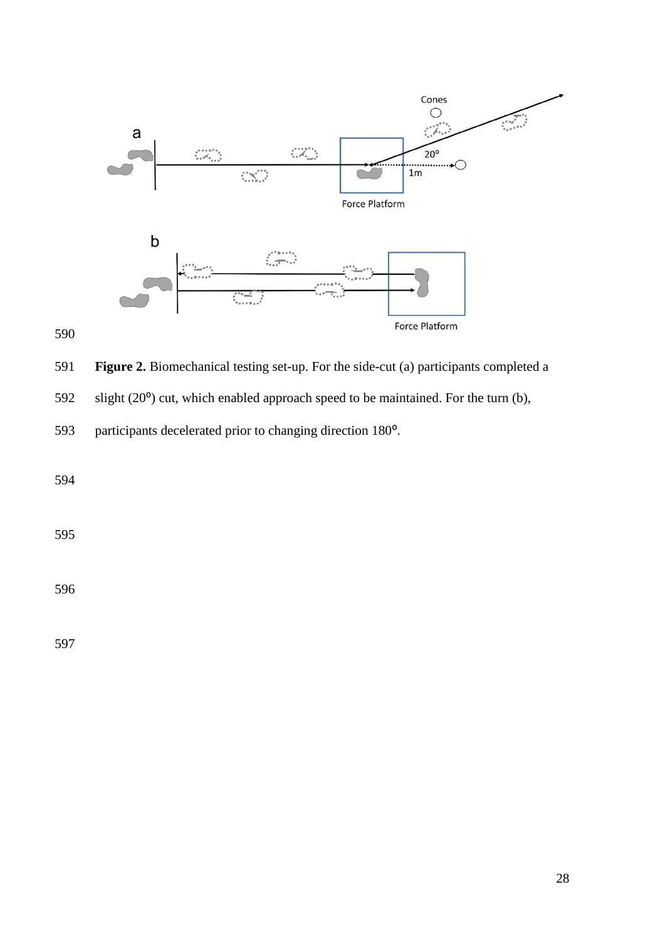

**Figure 2.** Biomechanical testing set-up. For the side-cut (a) participants completed a

592 slight  $(20^{\circ})$  cut, which enabled approach speed to be maintained. For the turn (b),

593 participants decelerated prior to changing direction 180<sup>o</sup>.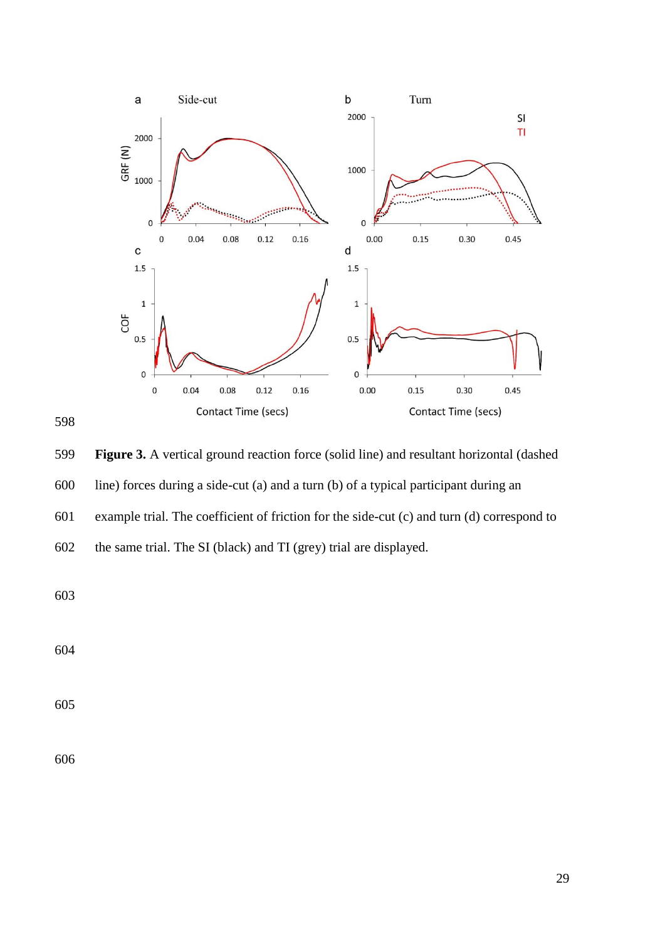



 **Figure 3.** A vertical ground reaction force (solid line) and resultant horizontal (dashed line) forces during a side-cut (a) and a turn (b) of a typical participant during an example trial. The coefficient of friction for the side-cut (c) and turn (d) correspond to the same trial. The SI (black) and TI (grey) trial are displayed.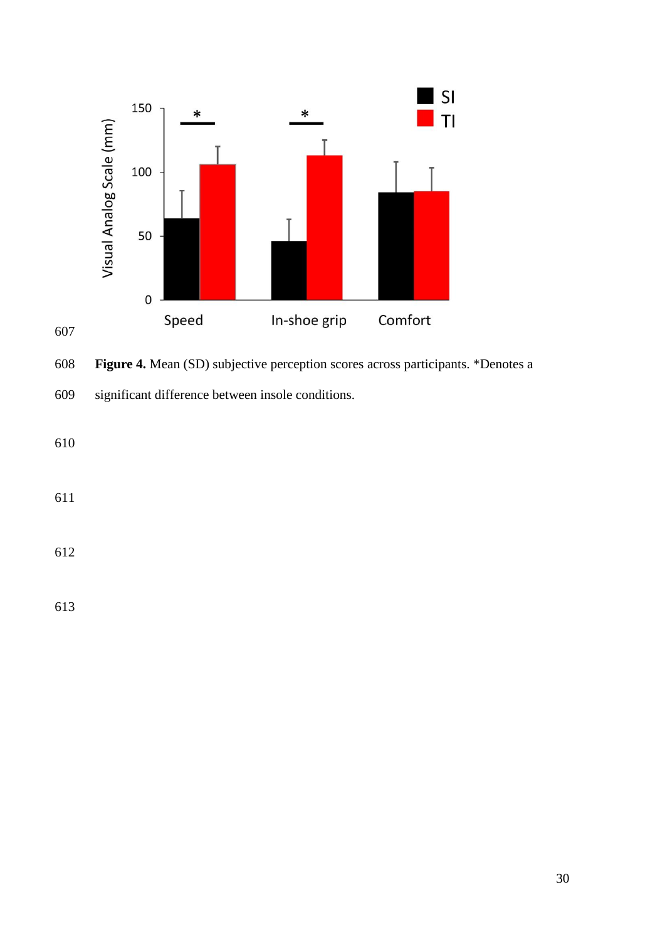

**Figure 4.** Mean (SD) subjective perception scores across participants. \*Denotes a

significant difference between insole conditions.